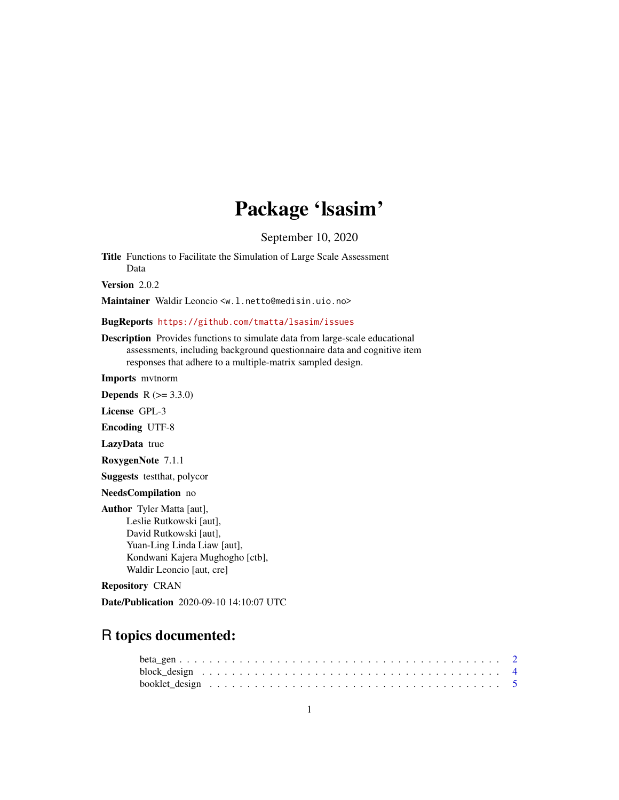# Package 'lsasim'

September 10, 2020

Title Functions to Facilitate the Simulation of Large Scale Assessment Data

Version 2.0.2

Maintainer Waldir Leoncio <w.l.netto@medisin.uio.no>

# BugReports <https://github.com/tmatta/lsasim/issues>

Description Provides functions to simulate data from large-scale educational assessments, including background questionnaire data and cognitive item responses that adhere to a multiple-matrix sampled design.

Imports mvtnorm

**Depends** R  $(>= 3.3.0)$ 

License GPL-3

Encoding UTF-8

LazyData true

RoxygenNote 7.1.1

Suggests testthat, polycor

NeedsCompilation no

Author Tyler Matta [aut], Leslie Rutkowski [aut], David Rutkowski [aut], Yuan-Ling Linda Liaw [aut], Kondwani Kajera Mughogho [ctb], Waldir Leoncio [aut, cre]

Repository CRAN

Date/Publication 2020-09-10 14:10:07 UTC

# R topics documented: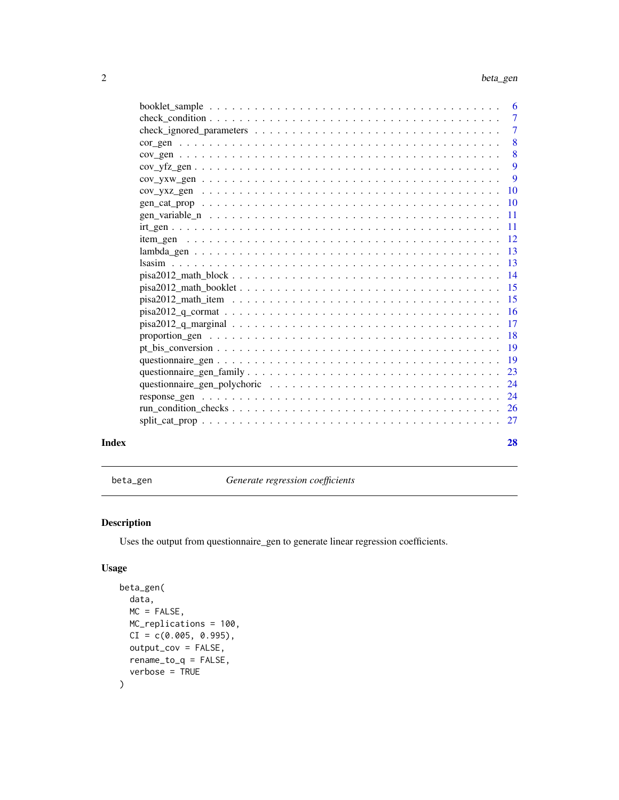<span id="page-1-0"></span>

|       | $\overline{7}$            |
|-------|---------------------------|
|       | $\overline{7}$            |
|       | $\overline{\phantom{0}}8$ |
|       | $\sqrt{8}$                |
|       | 9                         |
|       | - 9                       |
|       |                           |
|       |                           |
|       |                           |
|       |                           |
|       |                           |
|       |                           |
|       |                           |
|       |                           |
|       |                           |
|       |                           |
|       |                           |
|       |                           |
|       |                           |
|       |                           |
|       |                           |
|       |                           |
|       |                           |
|       |                           |
|       |                           |
|       |                           |
| Index | 28                        |

beta\_gen *Generate regression coefficients*

# Description

Uses the output from questionnaire\_gen to generate linear regression coefficients.

# Usage

```
beta_gen(
  data,
  MC = FALSE,MC_replications = 100,
  CI = c(0.005, 0.995),
  output_cov = FALSE,
  rename_to_q = FALSE,
  verbose = TRUE
\mathcal{L}
```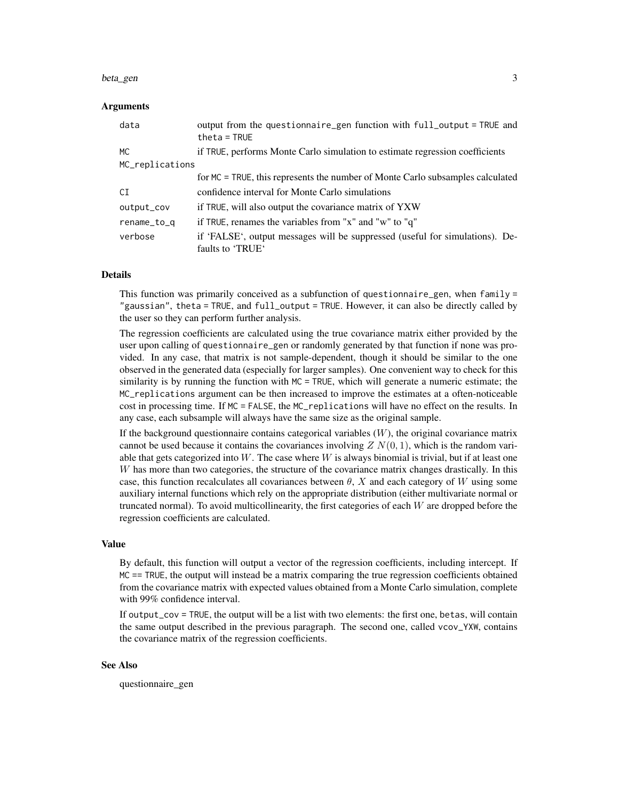#### beta\_gen 3

#### Arguments

| data            | output from the questionnaire_gen function with full_output = TRUE and<br>$theta = TRUE$         |  |  |  |  |  |  |
|-----------------|--------------------------------------------------------------------------------------------------|--|--|--|--|--|--|
| <b>MC</b>       | if TRUE, performs Monte Carlo simulation to estimate regression coefficients                     |  |  |  |  |  |  |
| MC_replications |                                                                                                  |  |  |  |  |  |  |
|                 | for MC = TRUE, this represents the number of Monte Carlo subsamples calculated                   |  |  |  |  |  |  |
| CI              | confidence interval for Monte Carlo simulations                                                  |  |  |  |  |  |  |
| output_cov      | if TRUE, will also output the covariance matrix of YXW                                           |  |  |  |  |  |  |
| rename_to_q     | if TRUE, renames the variables from "x" and "w" to "q"                                           |  |  |  |  |  |  |
| verbose         | if 'FALSE', output messages will be suppressed (useful for simulations). De-<br>faults to 'TRUE' |  |  |  |  |  |  |

#### Details

This function was primarily conceived as a subfunction of questionnaire\_gen, when family = "gaussian", theta = TRUE, and full\_output = TRUE. However, it can also be directly called by the user so they can perform further analysis.

The regression coefficients are calculated using the true covariance matrix either provided by the user upon calling of questionnaire\_gen or randomly generated by that function if none was provided. In any case, that matrix is not sample-dependent, though it should be similar to the one observed in the generated data (especially for larger samples). One convenient way to check for this similarity is by running the function with MC = TRUE, which will generate a numeric estimate; the MC\_replications argument can be then increased to improve the estimates at a often-noticeable cost in processing time. If MC = FALSE, the MC\_replications will have no effect on the results. In any case, each subsample will always have the same size as the original sample.

If the background questionnaire contains categorical variables  $(W)$ , the original covariance matrix cannot be used because it contains the covariances involving  $Z N(0, 1)$ , which is the random variable that gets categorized into W. The case where W is always binomial is trivial, but if at least one W has more than two categories, the structure of the covariance matrix changes drastically. In this case, this function recalculates all covariances between  $\theta$ , X and each category of W using some auxiliary internal functions which rely on the appropriate distribution (either multivariate normal or truncated normal). To avoid multicollinearity, the first categories of each  $W$  are dropped before the regression coefficients are calculated.

#### Value

By default, this function will output a vector of the regression coefficients, including intercept. If MC == TRUE, the output will instead be a matrix comparing the true regression coefficients obtained from the covariance matrix with expected values obtained from a Monte Carlo simulation, complete with 99% confidence interval.

If output\_cov = TRUE, the output will be a list with two elements: the first one, betas, will contain the same output described in the previous paragraph. The second one, called vcov\_YXW, contains the covariance matrix of the regression coefficients.

#### See Also

questionnaire\_gen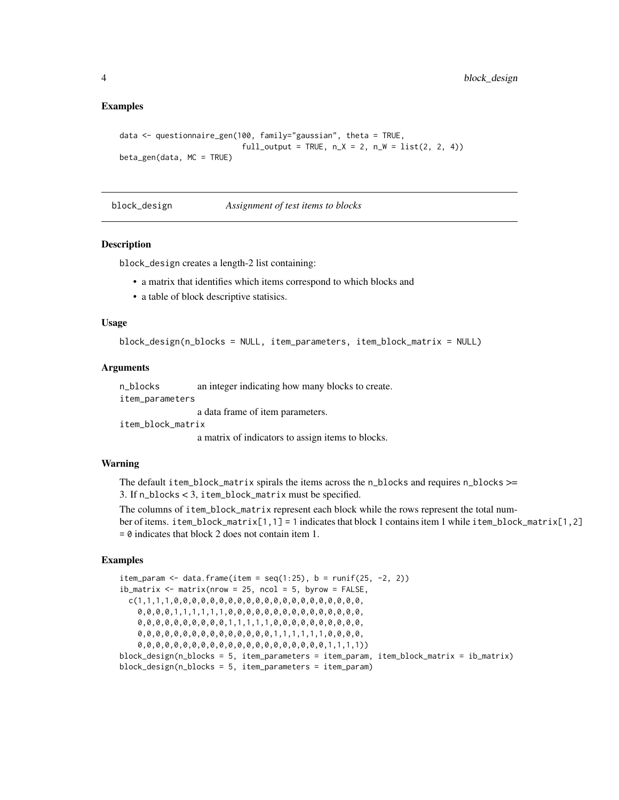#### Examples

```
data <- questionnaire_gen(100, family="gaussian", theta = TRUE,
                           full_output = TRUE, n_X = 2, n_W = list(2, 2, 4)beta_gen(data, MC = TRUE)
```
block\_design *Assignment of test items to blocks*

#### Description

block\_design creates a length-2 list containing:

- a matrix that identifies which items correspond to which blocks and
- a table of block descriptive statisics.

#### Usage

block\_design(n\_blocks = NULL, item\_parameters, item\_block\_matrix = NULL)

#### Arguments

n\_blocks an integer indicating how many blocks to create.

item\_parameters

a data frame of item parameters.

item\_block\_matrix

a matrix of indicators to assign items to blocks.

#### Warning

The default item\_block\_matrix spirals the items across the n\_blocks and requires n\_blocks >= 3. If n\_blocks < 3, item\_block\_matrix must be specified.

The columns of item\_block\_matrix represent each block while the rows represent the total number of items. item\_block\_matrix[1,1] = 1 indicates that block 1 contains item 1 while item\_block\_matrix[1,2]  $= 0$  indicates that block 2 does not contain item 1.

# Examples

item\_param <- data.frame(item =  $seq(1:25)$ ,  $b = runif(25, -2, 2)$ )  $ib_matrix < -matrix$  matrix(nrow = 25, ncol = 5, byrow = FALSE, c(1,1,1,1,0,0,0,0,0,0,0,0,0,0,0,0,0,0,0,0,0,0,0,0,0, 0,0,0,0,1,1,1,1,1,1,0,0,0,0,0,0,0,0,0,0,0,0,0,0,0, 0,0,0,0,0,0,0,0,0,0,1,1,1,1,1,0,0,0,0,0,0,0,0,0,0, 0,0,0,0,0,0,0,0,0,0,0,0,0,0,0,1,1,1,1,1,1,0,0,0,0, 0,0,0,0,0,0,0,0,0,0,0,0,0,0,0,0,0,0,0,0,0,1,1,1,1)) block\_design(n\_blocks = 5, item\_parameters = item\_param, item\_block\_matrix = ib\_matrix) block\_design(n\_blocks = 5, item\_parameters = item\_param)

<span id="page-3-0"></span>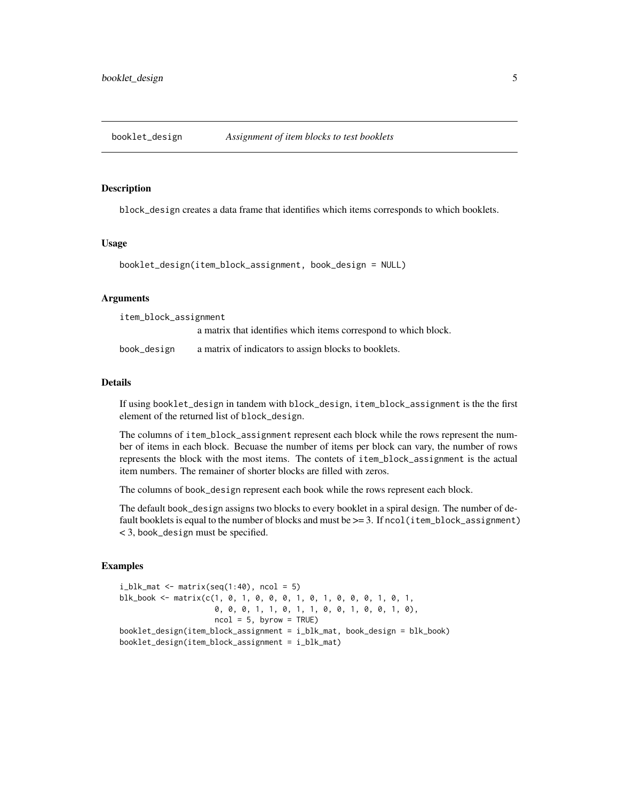<span id="page-4-0"></span>booklet\_design *Assignment of item blocks to test booklets*

#### **Description**

block\_design creates a data frame that identifies which items corresponds to which booklets.

### Usage

booklet\_design(item\_block\_assignment, book\_design = NULL)

#### Arguments

| item_block_assignment |                                                                 |  |  |  |  |  |  |
|-----------------------|-----------------------------------------------------------------|--|--|--|--|--|--|
|                       | a matrix that identifies which items correspond to which block. |  |  |  |  |  |  |
| book_design           | a matrix of indicators to assign blocks to booklets.            |  |  |  |  |  |  |

#### Details

If using booklet\_design in tandem with block\_design, item\_block\_assignment is the the first element of the returned list of block\_design.

The columns of item\_block\_assignment represent each block while the rows represent the number of items in each block. Becuase the number of items per block can vary, the number of rows represents the block with the most items. The contets of item\_block\_assignment is the actual item numbers. The remainer of shorter blocks are filled with zeros.

The columns of book\_design represent each book while the rows represent each block.

The default book\_design assigns two blocks to every booklet in a spiral design. The number of default booklets is equal to the number of blocks and must be  $\geq$  = 3. If ncol(item\_block\_assignment) < 3, book\_design must be specified.

#### Examples

```
i_blk_mat \leq matrix(seq(1:40), ncol = 5)
blk_book <- matrix(c(1, 0, 1, 0, 0, 0, 1, 0, 1, 0, 0, 0, 1, 0, 1,
                     0, 0, 0, 1, 1, 0, 1, 1, 0, 0, 1, 0, 0, 1, 0),
                     ncol = 5, byrow = TRUE)
booklet_design(item_block_assignment = i_blk_mat, book_design = blk_book)
booklet_design(item_block_assignment = i_blk_mat)
```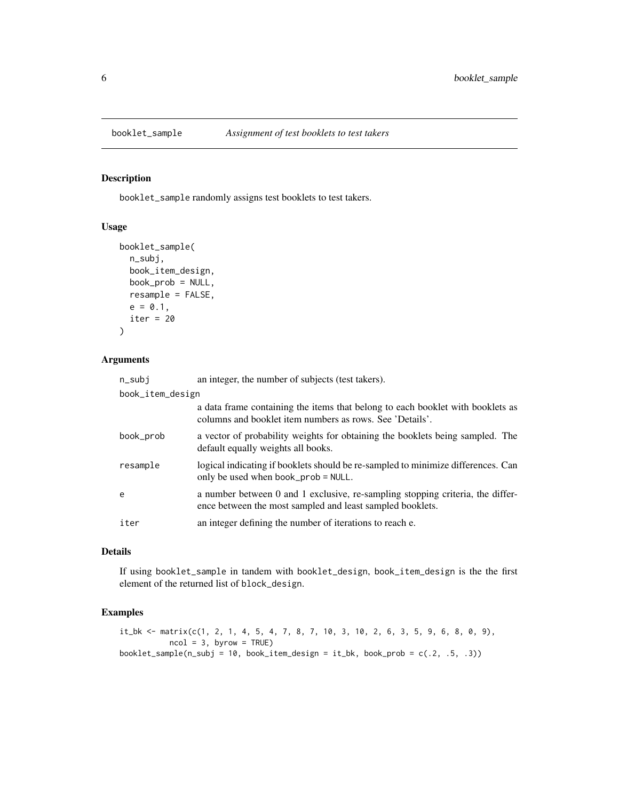<span id="page-5-0"></span>

#### Description

booklet\_sample randomly assigns test booklets to test takers.

# Usage

```
booklet_sample(
  n_subj,
 book_item_design,
 book_prob = NULL,
  resample = FALSE,
 e = 0.1,
  iter = 20
)
```
#### Arguments

| n_subj    | an integer, the number of subjects (test takers).                                                                                           |  |  |  |  |  |  |  |
|-----------|---------------------------------------------------------------------------------------------------------------------------------------------|--|--|--|--|--|--|--|
|           | book_item_design                                                                                                                            |  |  |  |  |  |  |  |
|           | a data frame containing the items that belong to each booklet with booklets as<br>columns and booklet item numbers as rows. See 'Details'.  |  |  |  |  |  |  |  |
| book_prob | a vector of probability weights for obtaining the booklets being sampled. The<br>default equally weights all books.                         |  |  |  |  |  |  |  |
| resample  | logical indicating if booklets should be re-sampled to minimize differences. Can<br>only be used when book_prob = NULL.                     |  |  |  |  |  |  |  |
| e         | a number between 0 and 1 exclusive, re-sampling stopping criteria, the differ-<br>ence between the most sampled and least sampled booklets. |  |  |  |  |  |  |  |
| iter      | an integer defining the number of iterations to reach e.                                                                                    |  |  |  |  |  |  |  |

#### Details

If using booklet\_sample in tandem with booklet\_design, book\_item\_design is the the first element of the returned list of block\_design.

### Examples

```
it_b <- matrix(c(1, 2, 1, 4, 5, 4, 7, 8, 7, 10, 3, 10, 2, 6, 3, 5, 9, 6, 8, 0, 9),
          ncol = 3, byrow = TRUE)
booklet_sample(n_subj = 10, book_item_design = it_bk, book_prob = c(.2, .5, .3))
```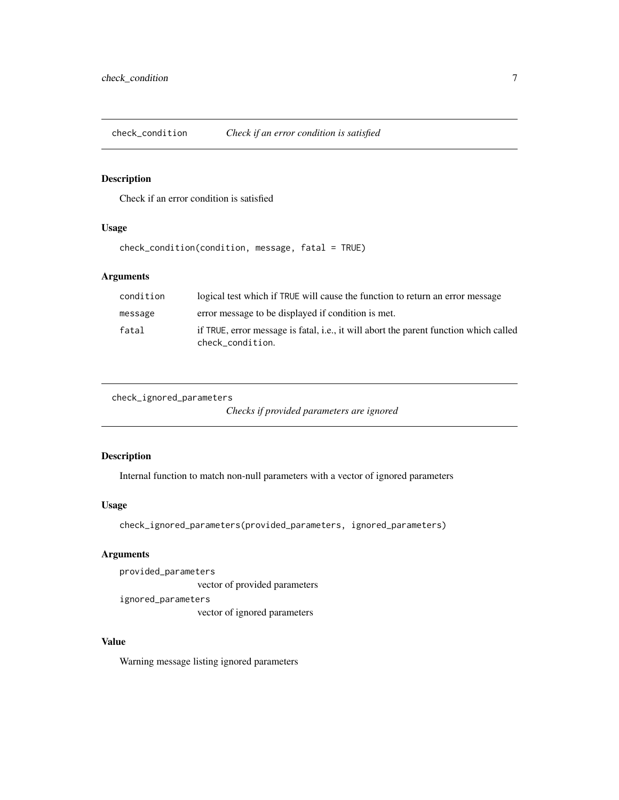<span id="page-6-0"></span>check\_condition *Check if an error condition is satisfied*

### Description

Check if an error condition is satisfied

#### Usage

check\_condition(condition, message, fatal = TRUE)

# Arguments

| condition | logical test which if TRUE will cause the function to return an error message                             |
|-----------|-----------------------------------------------------------------------------------------------------------|
| message   | error message to be displayed if condition is met.                                                        |
| fatal     | if TRUE, error message is fatal, i.e., it will abort the parent function which called<br>check condition. |

check\_ignored\_parameters

*Checks if provided parameters are ignored*

#### Description

Internal function to match non-null parameters with a vector of ignored parameters

#### Usage

check\_ignored\_parameters(provided\_parameters, ignored\_parameters)

#### Arguments

provided\_parameters vector of provided parameters ignored\_parameters vector of ignored parameters

# Value

Warning message listing ignored parameters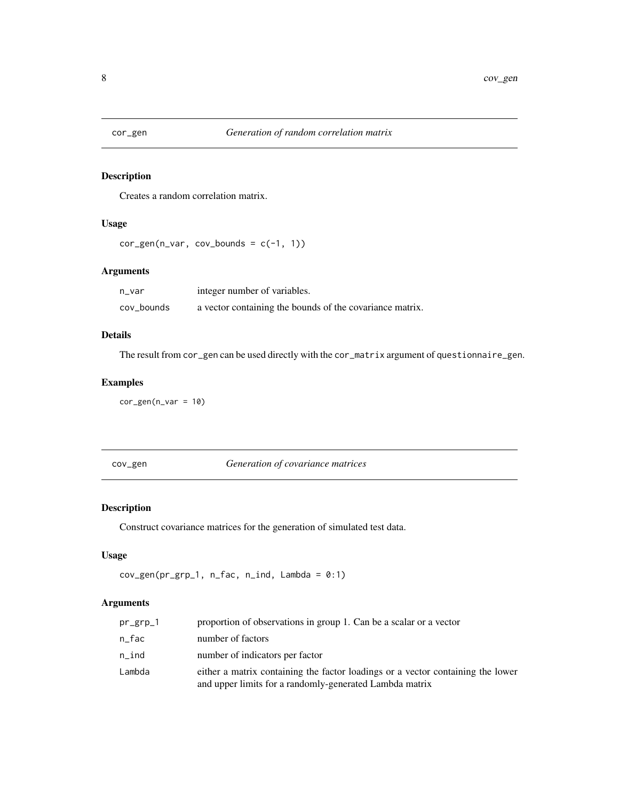<span id="page-7-0"></span>

# Description

Creates a random correlation matrix.

#### Usage

```
cor\_gen(n\_var, cov_bounds = c(-1, 1))
```
#### Arguments

| n var      | integer number of variables.                             |
|------------|----------------------------------------------------------|
| cov_bounds | a vector containing the bounds of the covariance matrix. |

# Details

The result from cor\_gen can be used directly with the cor\_matrix argument of questionnaire\_gen.

# Examples

 $cor\_gen(n\_var = 10)$ 

cov\_gen *Generation of covariance matrices*

# Description

Construct covariance matrices for the generation of simulated test data.

# Usage

```
cov\_gen(pr\_grp_1, n\_fac, n\_ind, Lambda = 0:1)
```

| $pr\_grp_1$ | proportion of observations in group 1. Can be a scalar or a vector                                                                         |
|-------------|--------------------------------------------------------------------------------------------------------------------------------------------|
| n fac       | number of factors                                                                                                                          |
| n ind       | number of indicators per factor                                                                                                            |
| Lambda      | either a matrix containing the factor loadings or a vector containing the lower<br>and upper limits for a randomly-generated Lambda matrix |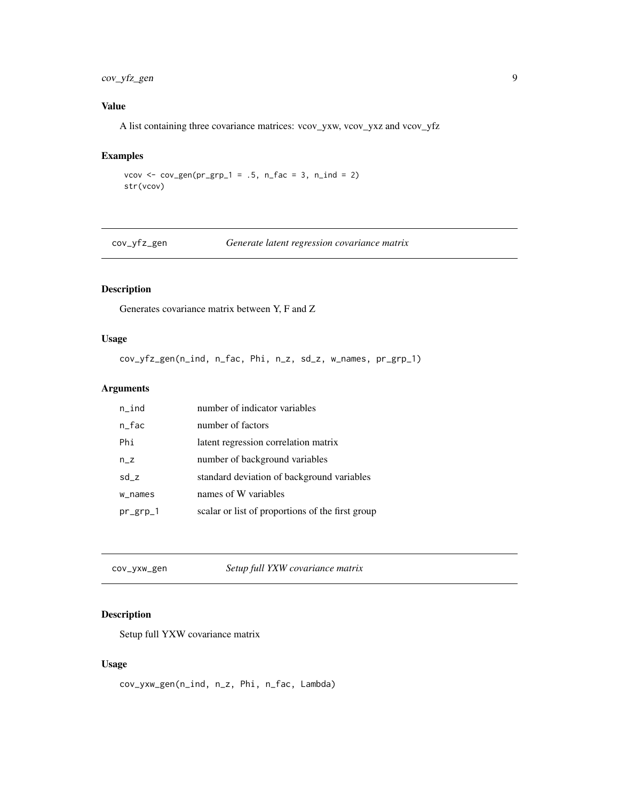# <span id="page-8-0"></span>cov\_yfz\_gen 9

# Value

A list containing three covariance matrices: vcov\_yxw, vcov\_yxz and vcov\_yfz

# Examples

vcov <- cov\_gen( $pr\_grp_1 = .5$ ,  $n_fac = 3$ ,  $n_fad = 2$ ) str(vcov)

cov\_yfz\_gen *Generate latent regression covariance matrix*

# Description

Generates covariance matrix between Y, F and Z

# Usage

cov\_yfz\_gen(n\_ind, n\_fac, Phi, n\_z, sd\_z, w\_names, pr\_grp\_1)

# Arguments

| $n$ _ind    | number of indicator variables                    |
|-------------|--------------------------------------------------|
| n_fac       | number of factors                                |
| Phi         | latent regression correlation matrix             |
| $n_Z$       | number of background variables                   |
| sd z        | standard deviation of background variables       |
| w_names     | names of W variables                             |
| $pr\_grp_1$ | scalar or list of proportions of the first group |

cov\_yxw\_gen *Setup full YXW covariance matrix*

# Description

Setup full YXW covariance matrix

#### Usage

cov\_yxw\_gen(n\_ind, n\_z, Phi, n\_fac, Lambda)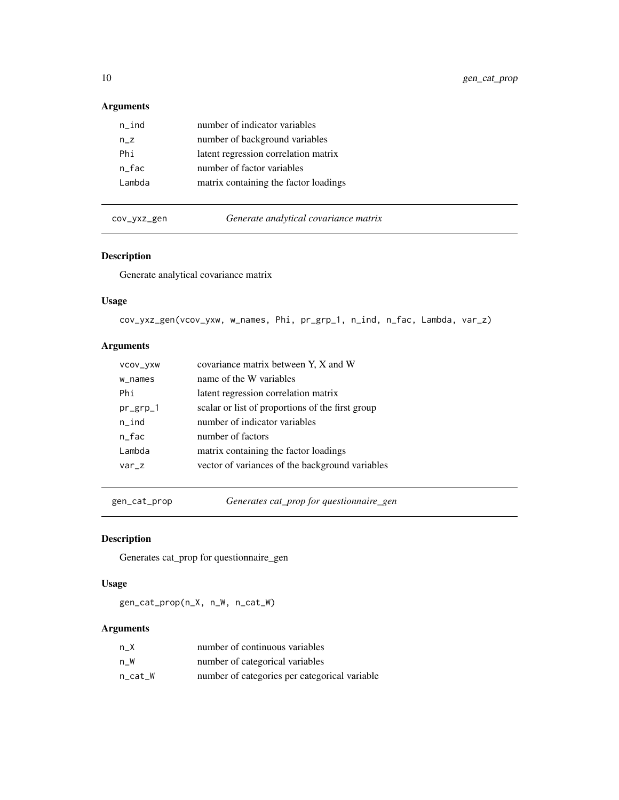# <span id="page-9-0"></span>Arguments

| $n$ _ind | number of indicator variables         |
|----------|---------------------------------------|
| $n_z$    | number of background variables        |
| Phi      | latent regression correlation matrix  |
| n fac    | number of factor variables            |
| Lambda   | matrix containing the factor loadings |
|          |                                       |

cov\_yxz\_gen *Generate analytical covariance matrix*

# Description

Generate analytical covariance matrix

# Usage

cov\_yxz\_gen(vcov\_yxw, w\_names, Phi, pr\_grp\_1, n\_ind, n\_fac, Lambda, var\_z)

# Arguments

| VCOV_VXW    | covariance matrix between Y, X and W             |
|-------------|--------------------------------------------------|
| w_names     | name of the W variables                          |
| Phi         | latent regression correlation matrix             |
| $pr\_grp_1$ | scalar or list of proportions of the first group |
| $n$ _ind    | number of indicator variables                    |
| $n_fac$     | number of factors                                |
| Lambda      | matrix containing the factor loadings            |
| $var_z$     | vector of variances of the background variables  |
|             |                                                  |

gen\_cat\_prop *Generates cat\_prop for questionnaire\_gen*

# Description

Generates cat\_prop for questionnaire\_gen

# Usage

gen\_cat\_prop(n\_X, n\_W, n\_cat\_W)

| n X     | number of continuous variables                |
|---------|-----------------------------------------------|
| n W     | number of categorical variables               |
| n cat W | number of categories per categorical variable |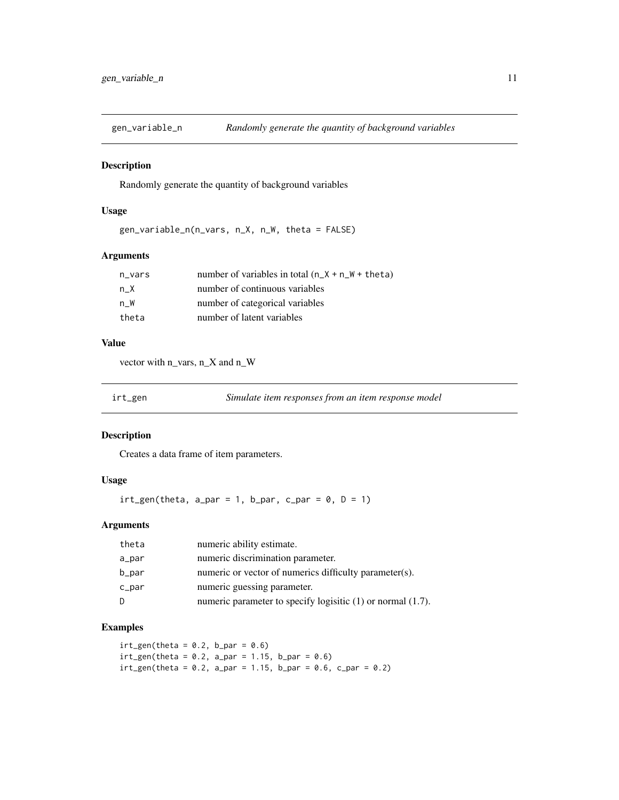<span id="page-10-0"></span>

#### Description

Randomly generate the quantity of background variables

### Usage

```
gen_variable_n(n_vars, n_X, n_W, theta = FALSE)
```
#### Arguments

| n_vars | number of variables in total $(n_X + n_W + \theta)$ |
|--------|-----------------------------------------------------|
| n X    | number of continuous variables                      |
| n W    | number of categorical variables                     |
| theta  | number of latent variables                          |

#### Value

vector with n\_vars, n\_X and n\_W

irt\_gen *Simulate item responses from an item response model*

#### Description

Creates a data frame of item parameters.

#### Usage

 $irt\_gen(theta, a\_par = 1, b\_par, c\_par = 0, D = 1)$ 

### Arguments

| theta | numeric ability estimate.                                        |
|-------|------------------------------------------------------------------|
| a_par | numeric discrimination parameter.                                |
| b_par | numeric or vector of numerics difficulty parameter(s).           |
| c_par | numeric guessing parameter.                                      |
| D     | numeric parameter to specify logisitic $(1)$ or normal $(1.7)$ . |

# Examples

```
irt\_gen(theta = 0.2, b\_par = 0.6)irt\_gen(theta = 0.2, a_par = 1.15, b_par = 0.6)
irt\_gen(theta = 0.2, a_par = 1.15, b_par = 0.6, c_par = 0.2)
```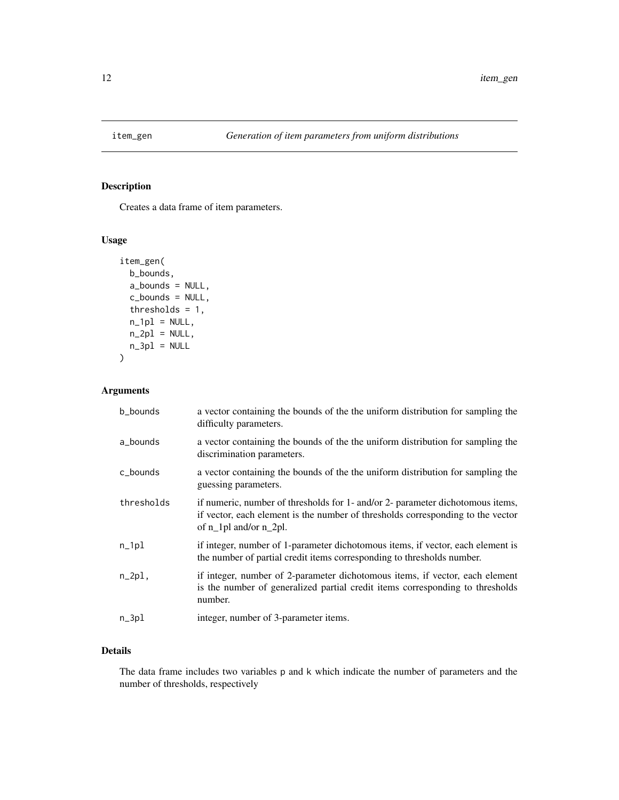<span id="page-11-0"></span>

# Description

Creates a data frame of item parameters.

# Usage

```
item_gen(
 b_bounds,
 a_bounds = NULL,
 c_bounds = NULL,
 thresholds = 1,
 n_1p1 = NULL,n_2p1 = NULL,n_3p1 = NULL)
```
# Arguments

| b_bounds   | a vector containing the bounds of the the uniform distribution for sampling the<br>difficulty parameters.                                                                                   |
|------------|---------------------------------------------------------------------------------------------------------------------------------------------------------------------------------------------|
| a_bounds   | a vector containing the bounds of the the uniform distribution for sampling the<br>discrimination parameters.                                                                               |
| c_bounds   | a vector containing the bounds of the the uniform distribution for sampling the<br>guessing parameters.                                                                                     |
| thresholds | if numeric, number of thresholds for 1- and/or 2- parameter dichotomous items,<br>if vector, each element is the number of thresholds corresponding to the vector<br>of n_1pl and/or n_2pl. |
| $n_{1}$    | if integer, number of 1-parameter dichotomous items, if vector, each element is<br>the number of partial credit items corresponding to thresholds number.                                   |
| $n_2$ pl,  | if integer, number of 2-parameter dichotomous items, if vector, each element<br>is the number of generalized partial credit items corresponding to thresholds<br>number.                    |
| $n_3$ pl   | integer, number of 3-parameter items.                                                                                                                                                       |

# Details

The data frame includes two variables p and k which indicate the number of parameters and the number of thresholds, respectively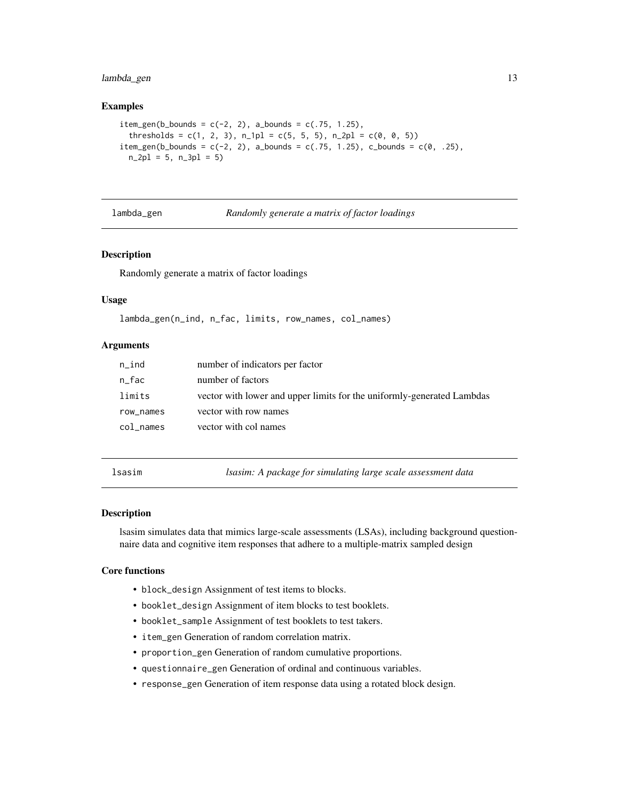# <span id="page-12-0"></span>lambda\_gen 13

#### Examples

```
item\_gen(b\_bounds = c(-2, 2), a\_bounds = c(.75, 1.25),thresholds = c(1, 2, 3), n_1pl = c(5, 5, 5), n_2pl = c(0, 0, 5))
item_gen(b_bounds = c(-2, 2), a_bounds = c(.75, 1.25), c_bounds = c(0, .25),
 n_2pl = 5, n_3pl = 5
```
lambda\_gen *Randomly generate a matrix of factor loadings*

#### Description

Randomly generate a matrix of factor loadings

#### Usage

```
lambda_gen(n_ind, n_fac, limits, row_names, col_names)
```
#### Arguments

| $n\_ind$  | number of indicators per factor                                        |
|-----------|------------------------------------------------------------------------|
| n_fac     | number of factors                                                      |
| limits    | vector with lower and upper limits for the uniformly-generated Lambdas |
| row_names | vector with row names                                                  |
| col names | vector with col names                                                  |
|           |                                                                        |

lsasim *lsasim: A package for simulating large scale assessment data*

#### Description

lsasim simulates data that mimics large-scale assessments (LSAs), including background questionnaire data and cognitive item responses that adhere to a multiple-matrix sampled design

#### Core functions

- block\_design Assignment of test items to blocks.
- booklet\_design Assignment of item blocks to test booklets.
- booklet\_sample Assignment of test booklets to test takers.
- item\_gen Generation of random correlation matrix.
- proportion\_gen Generation of random cumulative proportions.
- questionnaire\_gen Generation of ordinal and continuous variables.
- response\_gen Generation of item response data using a rotated block design.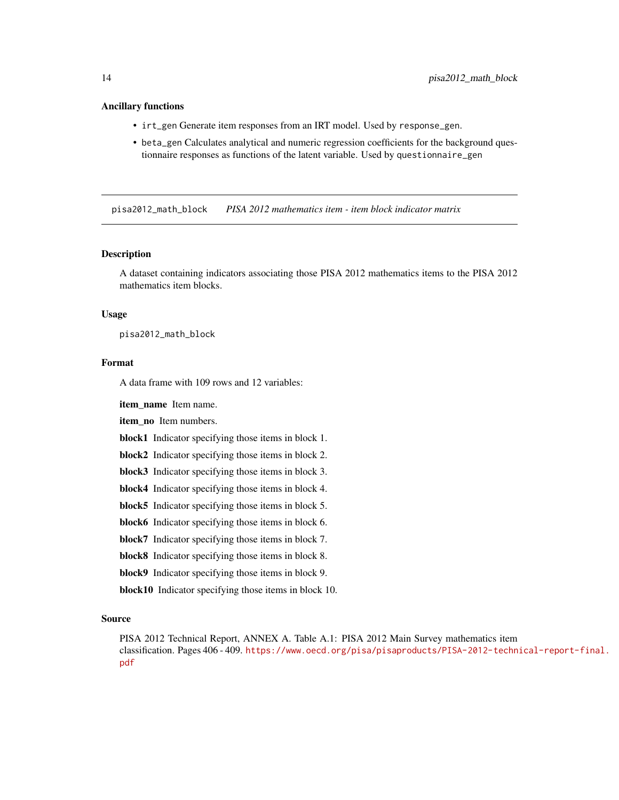#### <span id="page-13-0"></span>Ancillary functions

- irt\_gen Generate item responses from an IRT model. Used by response\_gen.
- beta\_gen Calculates analytical and numeric regression coefficients for the background questionnaire responses as functions of the latent variable. Used by questionnaire\_gen

pisa2012\_math\_block *PISA 2012 mathematics item - item block indicator matrix*

#### Description

A dataset containing indicators associating those PISA 2012 mathematics items to the PISA 2012 mathematics item blocks.

#### Usage

pisa2012\_math\_block

#### Format

A data frame with 109 rows and 12 variables:

item\_name Item name.

item no Item numbers.

block1 Indicator specifying those items in block 1.

block2 Indicator specifying those items in block 2.

block3 Indicator specifying those items in block 3.

block4 Indicator specifying those items in block 4.

block5 Indicator specifying those items in block 5.

block6 Indicator specifying those items in block 6.

block7 Indicator specifying those items in block 7.

block8 Indicator specifying those items in block 8.

block9 Indicator specifying those items in block 9.

block10 Indicator specifying those items in block 10.

#### Source

PISA 2012 Technical Report, ANNEX A. Table A.1: PISA 2012 Main Survey mathematics item classification. Pages 406 - 409. [https://www.oecd.org/pisa/pisaproducts/PISA-2012-techn](https://www.oecd.org/pisa/pisaproducts/PISA-2012-technical-report-final.pdf)ical-report-final. [pdf](https://www.oecd.org/pisa/pisaproducts/PISA-2012-technical-report-final.pdf)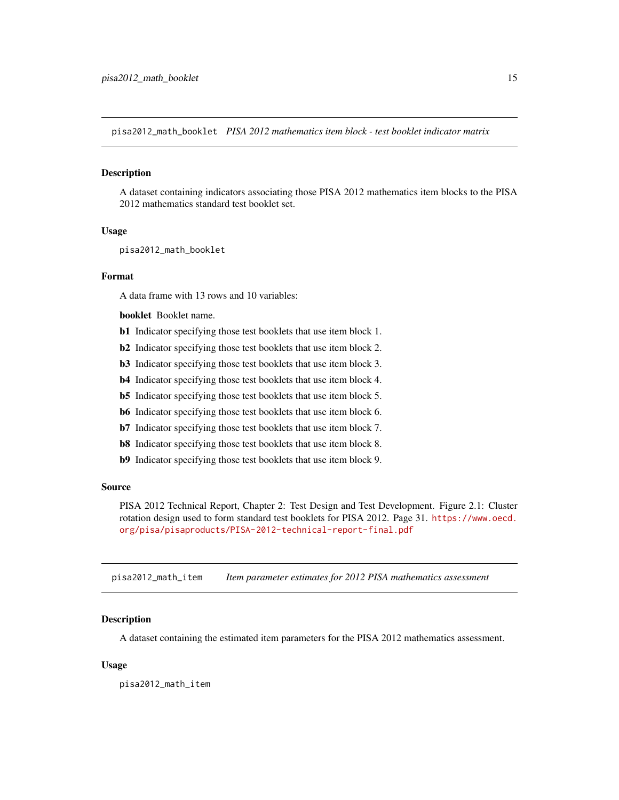<span id="page-14-0"></span>pisa2012\_math\_booklet *PISA 2012 mathematics item block - test booklet indicator matrix*

#### **Description**

A dataset containing indicators associating those PISA 2012 mathematics item blocks to the PISA 2012 mathematics standard test booklet set.

#### Usage

pisa2012\_math\_booklet

#### Format

A data frame with 13 rows and 10 variables:

booklet Booklet name.

- b1 Indicator specifying those test booklets that use item block 1.
- b2 Indicator specifying those test booklets that use item block 2.
- b3 Indicator specifying those test booklets that use item block 3.
- b4 Indicator specifying those test booklets that use item block 4.
- b5 Indicator specifying those test booklets that use item block 5.
- b6 Indicator specifying those test booklets that use item block 6.
- b7 Indicator specifying those test booklets that use item block 7.
- b8 Indicator specifying those test booklets that use item block 8.
- b9 Indicator specifying those test booklets that use item block 9.

#### Source

PISA 2012 Technical Report, Chapter 2: Test Design and Test Development. Figure 2.1: Cluster rotation design used to form standard test booklets for PISA 2012. Page 31. [https://www.oecd.](https://www.oecd.org/pisa/pisaproducts/PISA-2012-technical-report-final.pdf) [org/pisa/pisaproducts/PISA-2012-technical-report-final.pdf](https://www.oecd.org/pisa/pisaproducts/PISA-2012-technical-report-final.pdf)

pisa2012\_math\_item *Item parameter estimates for 2012 PISA mathematics assessment*

#### **Description**

A dataset containing the estimated item parameters for the PISA 2012 mathematics assessment.

#### Usage

pisa2012\_math\_item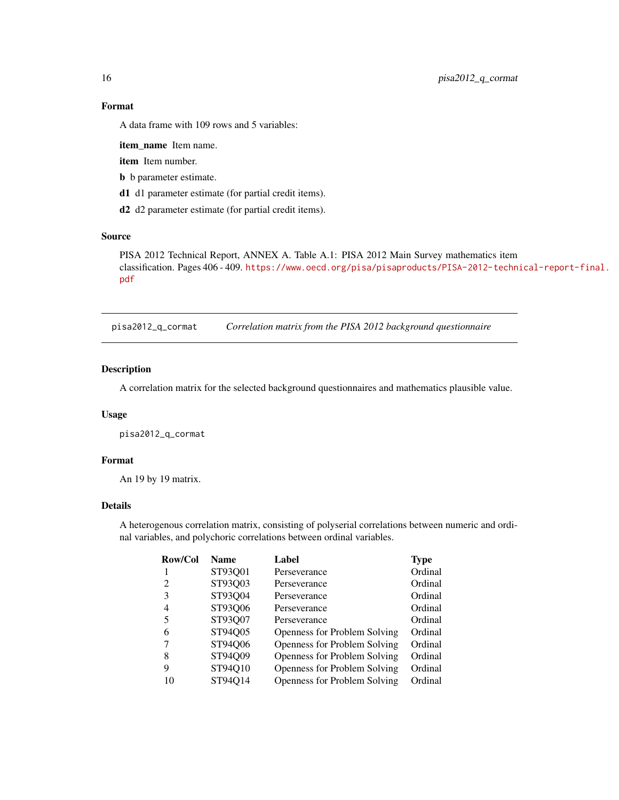# Format

A data frame with 109 rows and 5 variables:

item\_name Item name.

item Item number.

b b parameter estimate.

d1 d1 parameter estimate (for partial credit items).

d2 d2 parameter estimate (for partial credit items).

#### Source

PISA 2012 Technical Report, ANNEX A. Table A.1: PISA 2012 Main Survey mathematics item classification. Pages 406 - 409. [https://www.oecd.org/pisa/pisaproducts/PISA-2012-techn](https://www.oecd.org/pisa/pisaproducts/PISA-2012-technical-report-final.pdf)ical-report-final. [pdf](https://www.oecd.org/pisa/pisaproducts/PISA-2012-technical-report-final.pdf)

pisa2012\_q\_cormat *Correlation matrix from the PISA 2012 background questionnaire*

### Description

A correlation matrix for the selected background questionnaires and mathematics plausible value.

#### Usage

pisa2012\_q\_cormat

#### Format

An 19 by 19 matrix.

#### Details

A heterogenous correlation matrix, consisting of polyserial correlations between numeric and ordinal variables, and polychoric correlations between ordinal variables.

| Row/Col | <b>Name</b> | Label                               | <b>Type</b> |
|---------|-------------|-------------------------------------|-------------|
|         | ST93Q01     | Perseverance                        | Ordinal     |
| 2       | ST93Q03     | Perseverance                        | Ordinal     |
| 3       | ST93Q04     | Perseverance                        | Ordinal     |
| 4       | ST93Q06     | Perseverance                        | Ordinal     |
| 5       | ST93Q07     | Perseverance                        | Ordinal     |
| 6       | ST94Q05     | <b>Openness for Problem Solving</b> | Ordinal     |
|         | ST94Q06     | Openness for Problem Solving        | Ordinal     |
| 8       | ST94Q09     | <b>Openness for Problem Solving</b> | Ordinal     |
| 9       | ST94Q10     | <b>Openness for Problem Solving</b> | Ordinal     |
| 10      | ST94Q14     | <b>Openness for Problem Solving</b> | Ordinal     |
|         |             |                                     |             |

<span id="page-15-0"></span>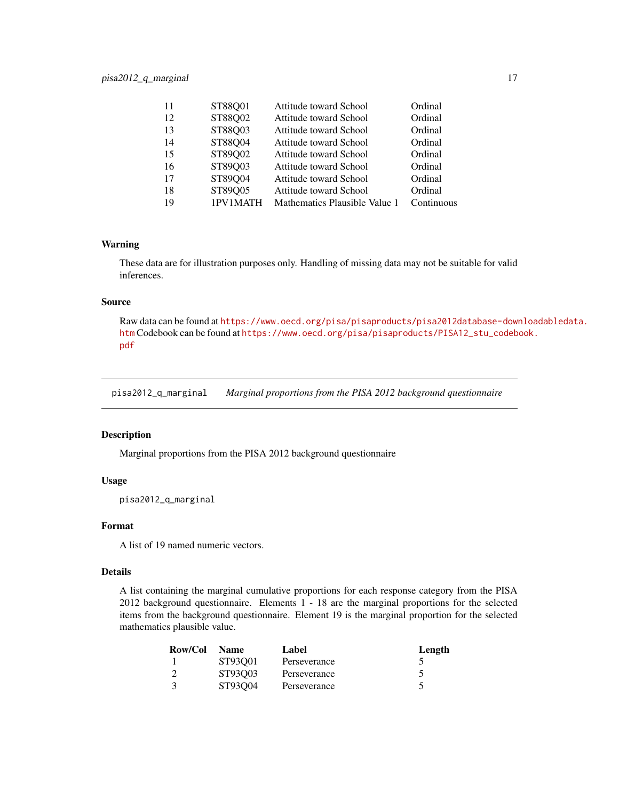<span id="page-16-0"></span>

| 11 | ST88Q01  | Attitude toward School        | Ordinal    |
|----|----------|-------------------------------|------------|
| 12 | ST88Q02  | Attitude toward School        | Ordinal    |
| 13 | ST88Q03  | Attitude toward School        | Ordinal    |
| 14 | ST88Q04  | Attitude toward School        | Ordinal    |
| 15 | ST89Q02  | Attitude toward School        | Ordinal    |
| 16 | ST89Q03  | Attitude toward School        | Ordinal    |
| 17 | ST89Q04  | Attitude toward School        | Ordinal    |
| 18 | ST89Q05  | Attitude toward School        | Ordinal    |
| 19 | 1PV1MATH | Mathematics Plausible Value 1 | Continuous |

#### Warning

These data are for illustration purposes only. Handling of missing data may not be suitable for valid inferences.

#### Source

Raw data can be found at [https://www.oecd.org/pisa/pisaproducts/pisa2012database-down](https://www.oecd.org/pisa/pisaproducts/pisa2012database-downloadabledata.htm)loadabledata. [htm](https://www.oecd.org/pisa/pisaproducts/pisa2012database-downloadabledata.htm) Codebook can be found at [https://www.oecd.org/pisa/pisaproducts/PISA12\\_stu\\_codeb](https://www.oecd.org/pisa/pisaproducts/PISA12_stu_codebook.pdf)ook. [pdf](https://www.oecd.org/pisa/pisaproducts/PISA12_stu_codebook.pdf)

pisa2012\_q\_marginal *Marginal proportions from the PISA 2012 background questionnaire*

#### Description

Marginal proportions from the PISA 2012 background questionnaire

#### Usage

pisa2012\_q\_marginal

#### Format

A list of 19 named numeric vectors.

#### Details

A list containing the marginal cumulative proportions for each response category from the PISA 2012 background questionnaire. Elements 1 - 18 are the marginal proportions for the selected items from the background questionnaire. Element 19 is the marginal proportion for the selected mathematics plausible value.

| Row/Col | <b>Name</b> | Label        | Length |
|---------|-------------|--------------|--------|
|         | ST93001     | Perseverance |        |
|         | ST93003     | Perseverance |        |
|         | ST93004     | Perseverance |        |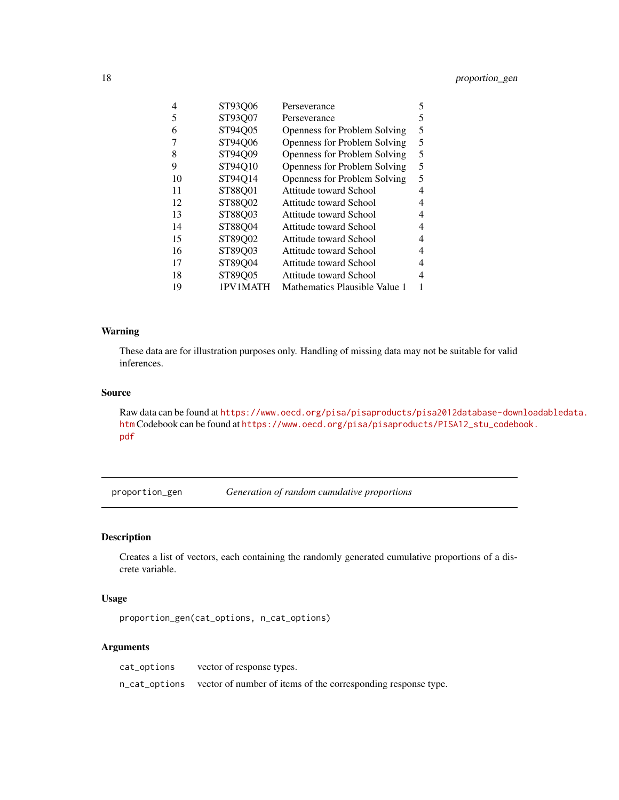<span id="page-17-0"></span>

| 4  | ST93Q06  | Perseverance                        | 5 |
|----|----------|-------------------------------------|---|
| 5  | ST93Q07  | Perseverance                        | 5 |
| 6  | ST94Q05  | <b>Openness for Problem Solving</b> | 5 |
| 7  | ST94Q06  | Openness for Problem Solving        | 5 |
| 8  | ST94Q09  | Openness for Problem Solving        | 5 |
| 9  | ST94Q10  | <b>Openness for Problem Solving</b> | 5 |
| 10 | ST94Q14  | <b>Openness for Problem Solving</b> | 5 |
| 11 | ST88Q01  | Attitude toward School              | 4 |
| 12 | ST88Q02  | Attitude toward School              | 4 |
| 13 | ST88Q03  | Attitude toward School              | 4 |
| 14 | ST88Q04  | Attitude toward School              | 4 |
| 15 | ST89Q02  | Attitude toward School              | 4 |
| 16 | ST89Q03  | Attitude toward School              | 4 |
| 17 | ST89Q04  | Attitude toward School              | 4 |
| 18 | ST89Q05  | Attitude toward School              | 4 |
| 19 | 1PV1MATH | Mathematics Plausible Value 1       |   |

#### Warning

These data are for illustration purposes only. Handling of missing data may not be suitable for valid inferences.

# Source

Raw data can be found at [https://www.oecd.org/pisa/pisaproducts/pisa2012database-down](https://www.oecd.org/pisa/pisaproducts/pisa2012database-downloadabledata.htm)loadabledata. [htm](https://www.oecd.org/pisa/pisaproducts/pisa2012database-downloadabledata.htm) Codebook can be found at [https://www.oecd.org/pisa/pisaproducts/PISA12\\_stu\\_codeb](https://www.oecd.org/pisa/pisaproducts/PISA12_stu_codebook.pdf)ook. [pdf](https://www.oecd.org/pisa/pisaproducts/PISA12_stu_codebook.pdf)

proportion\_gen *Generation of random cumulative proportions*

# Description

Creates a list of vectors, each containing the randomly generated cumulative proportions of a discrete variable.

#### Usage

proportion\_gen(cat\_options, n\_cat\_options)

| cat_options | vector of response types.                                                   |
|-------------|-----------------------------------------------------------------------------|
|             | n_cat_options vector of number of items of the corresponding response type. |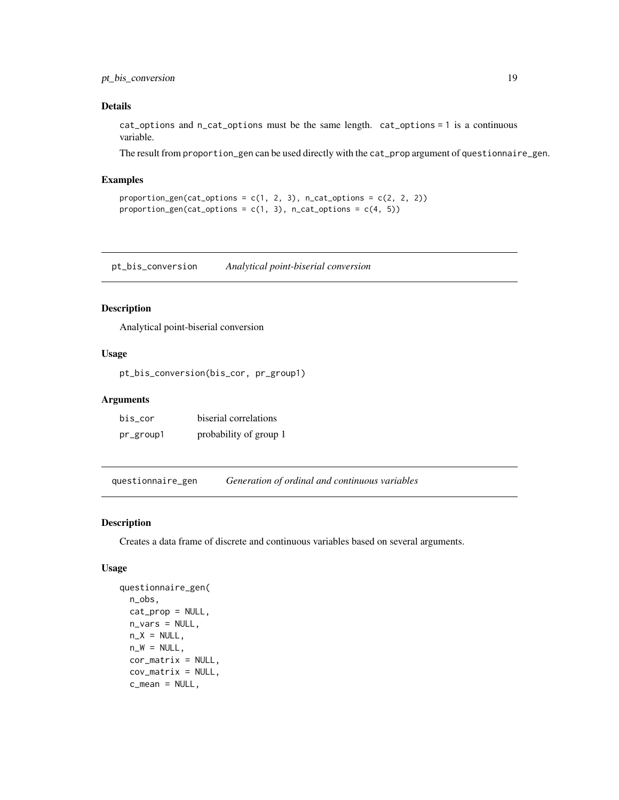# <span id="page-18-0"></span>pt\_bis\_conversion 19

#### Details

cat\_options and n\_cat\_options must be the same length. cat\_options = 1 is a continuous variable.

The result from proportion\_gen can be used directly with the cat\_prop argument of questionnaire\_gen.

#### Examples

```
proportion_gen(cat_options = c(1, 2, 3), n_cat_options = c(2, 2, 2))
proportion_gen(cat_options = c(1, 3), n_cat_options = c(4, 5))
```
pt\_bis\_conversion *Analytical point-biserial conversion*

# Description

Analytical point-biserial conversion

#### Usage

pt\_bis\_conversion(bis\_cor, pr\_group1)

### Arguments

| bis cor   | biserial correlations  |
|-----------|------------------------|
| pr_group1 | probability of group 1 |

questionnaire\_gen *Generation of ordinal and continuous variables*

### Description

Creates a data frame of discrete and continuous variables based on several arguments.

#### Usage

```
questionnaire_gen(
  n_obs,
  cat_prop = NULL,
  n_{vars} = NULL,
 n_X = NULL,
  n_W = NULL,
  cor_matrix = NULL,
  cov_matrix = NULL,c_mean = NULL,
```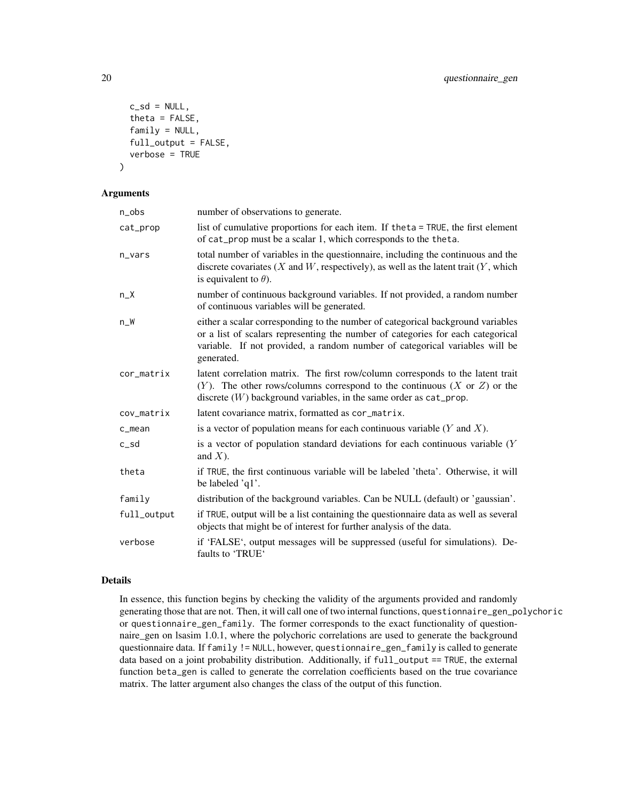```
c_s = NULL,theta = FALSE,family = NULL,full_output = FALSE,
  verbose = TRUE
)
```
#### Arguments

| $n_{obs}$   | number of observations to generate.                                                                                                                                                                                                                             |
|-------------|-----------------------------------------------------------------------------------------------------------------------------------------------------------------------------------------------------------------------------------------------------------------|
| cat_prop    | list of cumulative proportions for each item. If theta = TRUE, the first element<br>of cat_prop must be a scalar 1, which corresponds to the theta.                                                                                                             |
| $n_vars$    | total number of variables in the questionnaire, including the continuous and the<br>discrete covariates $(X$ and $W$ , respectively), as well as the latent trait $(Y$ , which<br>is equivalent to $\theta$ ).                                                  |
| $n_X$       | number of continuous background variables. If not provided, a random number<br>of continuous variables will be generated.                                                                                                                                       |
| $n_W$       | either a scalar corresponding to the number of categorical background variables<br>or a list of scalars representing the number of categories for each categorical<br>variable. If not provided, a random number of categorical variables will be<br>generated. |
| cor_matrix  | latent correlation matrix. The first row/column corresponds to the latent trait<br>$(Y)$ . The other rows/columns correspond to the continuous $(X \text{ or } Z)$ or the<br>discrete $(W)$ background variables, in the same order as cat_prop.                |
| cov_matrix  | latent covariance matrix, formatted as cor_matrix.                                                                                                                                                                                                              |
| $c$ _mean   | is a vector of population means for each continuous variable $(Y \text{ and } X)$ .                                                                                                                                                                             |
| $c$ _sd     | is a vector of population standard deviations for each continuous variable $(Y$<br>and $X$ ).                                                                                                                                                                   |
| theta       | if TRUE, the first continuous variable will be labeled 'theta'. Otherwise, it will<br>be labeled 'q1'.                                                                                                                                                          |
| family      | distribution of the background variables. Can be NULL (default) or 'gaussian'.                                                                                                                                                                                  |
| full_output | if TRUE, output will be a list containing the questionnaire data as well as several<br>objects that might be of interest for further analysis of the data.                                                                                                      |
| verbose     | if 'FALSE', output messages will be suppressed (useful for simulations). De-<br>faults to 'TRUE'                                                                                                                                                                |

#### Details

In essence, this function begins by checking the validity of the arguments provided and randomly generating those that are not. Then, it will call one of two internal functions, questionnaire\_gen\_polychoric or questionnaire\_gen\_family. The former corresponds to the exact functionality of questionnaire\_gen on lsasim 1.0.1, where the polychoric correlations are used to generate the background questionnaire data. If family != NULL, however, questionnaire\_gen\_family is called to generate data based on a joint probability distribution. Additionally, if full\_output == TRUE, the external function beta\_gen is called to generate the correlation coefficients based on the true covariance matrix. The latter argument also changes the class of the output of this function.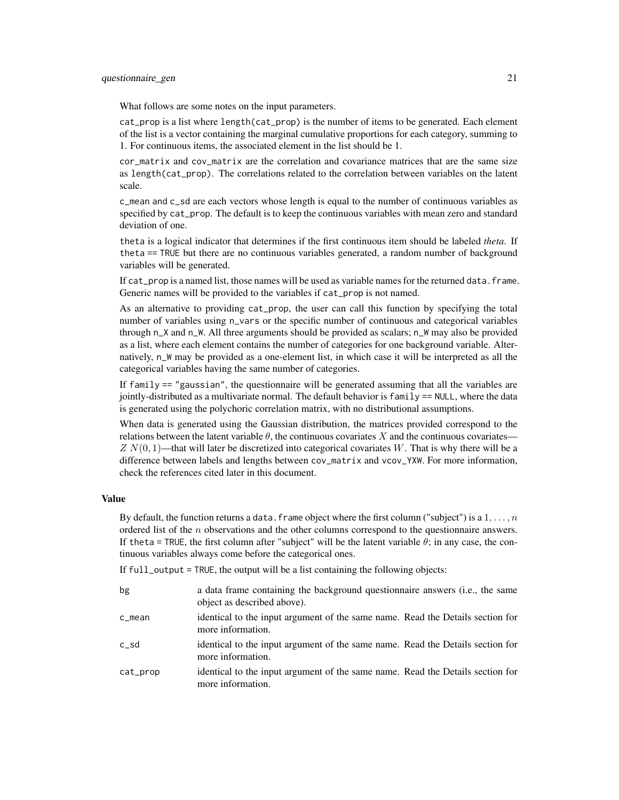#### questionnaire\_gen 21

What follows are some notes on the input parameters.

cat\_prop is a list where length(cat\_prop) is the number of items to be generated. Each element of the list is a vector containing the marginal cumulative proportions for each category, summing to 1. For continuous items, the associated element in the list should be 1.

cor\_matrix and cov\_matrix are the correlation and covariance matrices that are the same size as length(cat\_prop). The correlations related to the correlation between variables on the latent scale.

c\_mean and c\_sd are each vectors whose length is equal to the number of continuous variables as specified by cat\_prop. The default is to keep the continuous variables with mean zero and standard deviation of one.

theta is a logical indicator that determines if the first continuous item should be labeled *theta*. If theta == TRUE but there are no continuous variables generated, a random number of background variables will be generated.

If cat\_prop is a named list, those names will be used as variable names for the returned data. frame. Generic names will be provided to the variables if cat\_prop is not named.

As an alternative to providing cat\_prop, the user can call this function by specifying the total number of variables using n\_vars or the specific number of continuous and categorical variables through n\_X and n\_W. All three arguments should be provided as scalars; n\_W may also be provided as a list, where each element contains the number of categories for one background variable. Alternatively, n\_W may be provided as a one-element list, in which case it will be interpreted as all the categorical variables having the same number of categories.

If family  $==$  "gaussian", the questionnaire will be generated assuming that all the variables are jointly-distributed as a multivariate normal. The default behavior is  $f_{\text{amily}} = NULL$ , where the data is generated using the polychoric correlation matrix, with no distributional assumptions.

When data is generated using the Gaussian distribution, the matrices provided correspond to the relations between the latent variable  $\theta$ , the continuous covariates X and the continuous covariates—  $ZN(0, 1)$ —that will later be discretized into categorical covariates W. That is why there will be a difference between labels and lengths between cov\_matrix and vcov\_YXW. For more information, check the references cited later in this document.

### Value

By default, the function returns a data. frame object where the first column ("subject") is a  $1, \ldots, n$ ordered list of the  $n$  observations and the other columns correspond to the questionnaire answers. If theta = TRUE, the first column after "subject" will be the latent variable  $\theta$ ; in any case, the continuous variables always come before the categorical ones.

If full\_output = TRUE, the output will be a list containing the following objects:

| bg       | a data frame containing the background questionnaire answers (i.e., the same<br>object as described above). |
|----------|-------------------------------------------------------------------------------------------------------------|
| c_mean   | identical to the input argument of the same name. Read the Details section for<br>more information.         |
| c_sd     | identical to the input argument of the same name. Read the Details section for<br>more information.         |
| cat_prop | identical to the input argument of the same name. Read the Details section for<br>more information.         |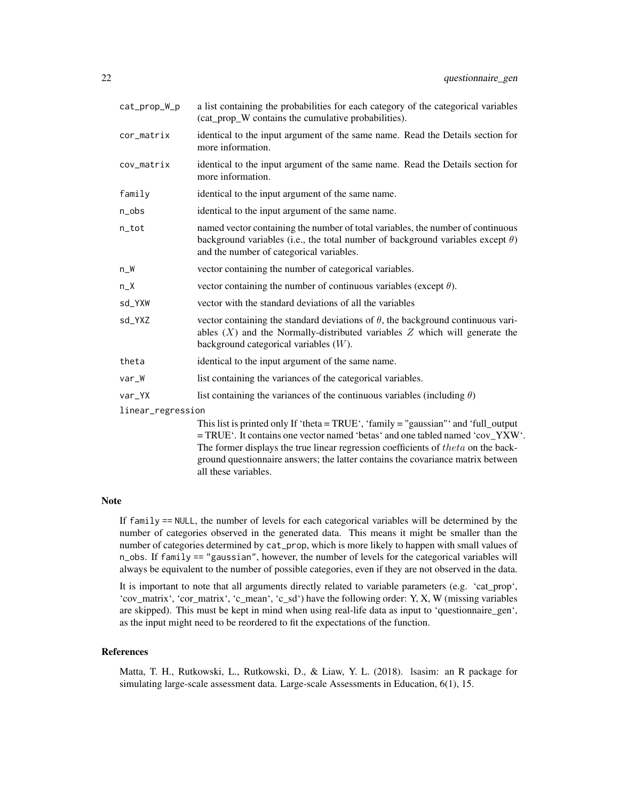| cat_prop_W_p      | a list containing the probabilities for each category of the categorical variables<br>(cat_prop_W contains the cumulative probabilities).                                                                                                                                                                                                                                                                                                                                              |
|-------------------|----------------------------------------------------------------------------------------------------------------------------------------------------------------------------------------------------------------------------------------------------------------------------------------------------------------------------------------------------------------------------------------------------------------------------------------------------------------------------------------|
| cor_matrix        | identical to the input argument of the same name. Read the Details section for<br>more information.                                                                                                                                                                                                                                                                                                                                                                                    |
| cov_matrix        | identical to the input argument of the same name. Read the Details section for<br>more information.                                                                                                                                                                                                                                                                                                                                                                                    |
| family            | identical to the input argument of the same name.                                                                                                                                                                                                                                                                                                                                                                                                                                      |
| n_obs             | identical to the input argument of the same name.                                                                                                                                                                                                                                                                                                                                                                                                                                      |
| n_tot             | named vector containing the number of total variables, the number of continuous<br>background variables (i.e., the total number of background variables except $\theta$ )<br>and the number of categorical variables.                                                                                                                                                                                                                                                                  |
| n_W               | vector containing the number of categorical variables.                                                                                                                                                                                                                                                                                                                                                                                                                                 |
| $n_X$             | vector containing the number of continuous variables (except $\theta$ ).                                                                                                                                                                                                                                                                                                                                                                                                               |
| sd_YXW            | vector with the standard deviations of all the variables                                                                                                                                                                                                                                                                                                                                                                                                                               |
| sd_YXZ            | vector containing the standard deviations of $\theta$ , the background continuous vari-<br>ables $(X)$ and the Normally-distributed variables $Z$ which will generate the<br>background categorical variables $(W)$ .                                                                                                                                                                                                                                                                  |
| theta             | identical to the input argument of the same name.                                                                                                                                                                                                                                                                                                                                                                                                                                      |
| var_W             | list containing the variances of the categorical variables.                                                                                                                                                                                                                                                                                                                                                                                                                            |
| var_YX            | list containing the variances of the continuous variables (including $\theta$ )                                                                                                                                                                                                                                                                                                                                                                                                        |
| linear_regression |                                                                                                                                                                                                                                                                                                                                                                                                                                                                                        |
|                   | This list is printed only If 'theta = TRUE', 'family = "gaussian"' and 'full_output<br>= TRUE'. It contains one vector named 'betas' and one tabled named 'cov_YXW'.<br>$\mathcal{C}$ and $\mathcal{C}$ are the second $\mathcal{C}$ and $\mathcal{C}$ and $\mathcal{C}$ and $\mathcal{C}$ and $\mathcal{C}$ and $\mathcal{C}$ and $\mathcal{C}$ and $\mathcal{C}$ and $\mathcal{C}$ and $\mathcal{C}$ and $\mathcal{C}$ and $\mathcal{C}$ and $\mathcal{C}$ and $\mathcal{C}$ and $\$ |

The former displays the true linear regression coefficients of  $theta$  on the background questionnaire answers; the latter contains the covariance matrix between all these variables.

#### Note

If family == NULL, the number of levels for each categorical variables will be determined by the number of categories observed in the generated data. This means it might be smaller than the number of categories determined by cat\_prop, which is more likely to happen with small values of n\_obs. If family == "gaussian", however, the number of levels for the categorical variables will always be equivalent to the number of possible categories, even if they are not observed in the data.

It is important to note that all arguments directly related to variable parameters (e.g. 'cat\_prop', 'cov\_matrix', 'cor\_matrix', 'c\_mean', 'c\_sd') have the following order: Y, X, W (missing variables are skipped). This must be kept in mind when using real-life data as input to 'questionnaire\_gen', as the input might need to be reordered to fit the expectations of the function.

#### References

Matta, T. H., Rutkowski, L., Rutkowski, D., & Liaw, Y. L. (2018). lsasim: an R package for simulating large-scale assessment data. Large-scale Assessments in Education, 6(1), 15.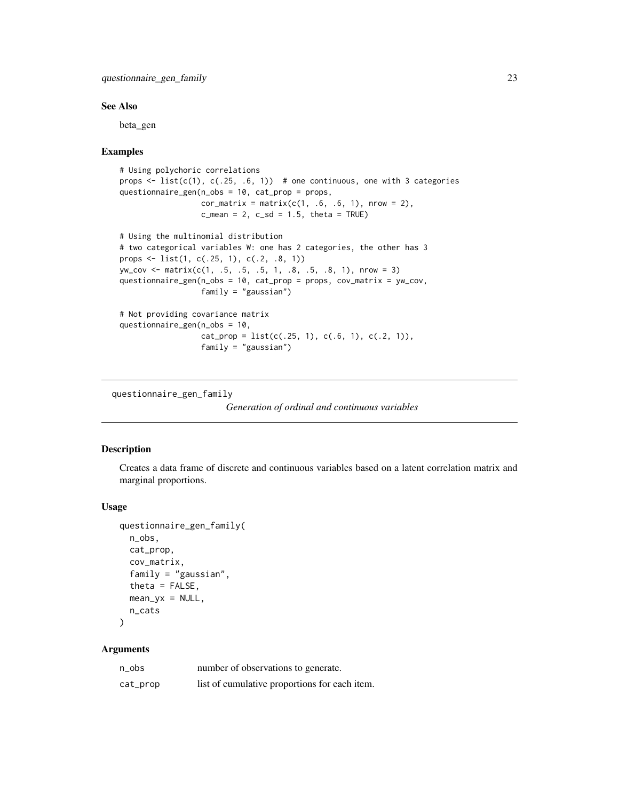#### <span id="page-22-0"></span>See Also

beta\_gen

#### Examples

```
# Using polychoric correlations
props \le list(c(1), c(.25, .6, 1)) # one continuous, one with 3 categories
questionnaire_gen(n_obs = 10, cat_prop = props,
                  cor_matrix = matrix(c(1, .6, .6, 1), nrow = 2),c_mean = 2, c_s = 1.5, theta = TRUE# Using the multinomial distribution
# two categorical variables W: one has 2 categories, the other has 3
props <- list(1, c(.25, 1), c(.2, .8, 1))
yw_cov <- matrix(c(1, .5, .5, .5, 1, .8, .5, .8, 1), nrow = 3)
questionnaire_gen(n_obs = 10, cat_prop = props, cov_matrix = yw_cov,
                  family = "gaussian")
# Not providing covariance matrix
questionnaire_gen(n_obs = 10,
                  cat\_prop = list(c(.25, 1), c(.6, 1), c(.2, 1)),family = "gaussian")
```
questionnaire\_gen\_family

```
Generation of ordinal and continuous variables
```
# Description

Creates a data frame of discrete and continuous variables based on a latent correlation matrix and marginal proportions.

#### Usage

```
questionnaire_gen_family(
 n_obs,
 cat_prop,
 cov_matrix,
 family = "gaussian",
  theta = FALSE,mean_yx = NULL,n_cats
)
```

| n_obs    | number of observations to generate.           |
|----------|-----------------------------------------------|
| cat_prop | list of cumulative proportions for each item. |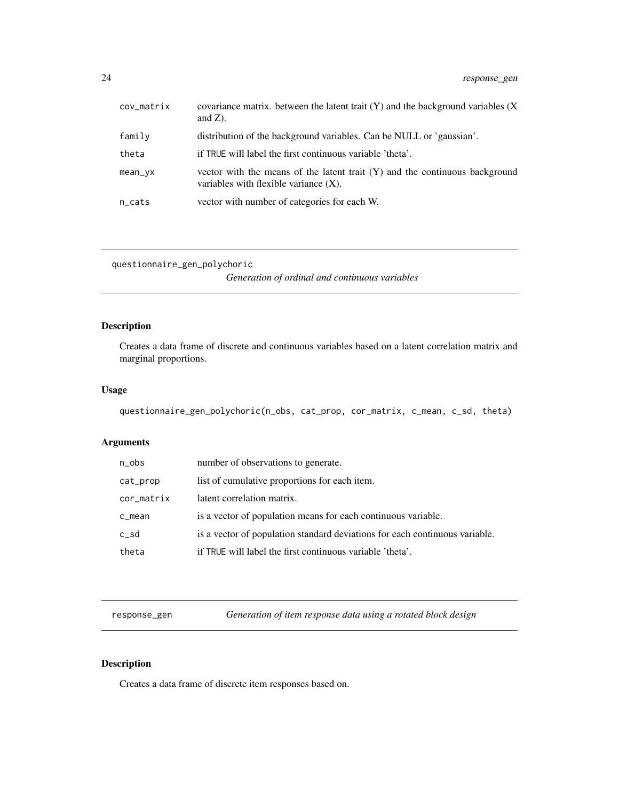<span id="page-23-0"></span>

| cov_matrix | covariance matrix. between the latent trait $(Y)$ and the background variables $(X)$<br>and $Z$ ).                        |
|------------|---------------------------------------------------------------------------------------------------------------------------|
| family     | distribution of the background variables. Can be NULL or 'gaussian'.                                                      |
| theta      | if TRUE will label the first continuous variable 'theta'.                                                                 |
| mean_yx    | vector with the means of the latent trait $(Y)$ and the continuous background<br>variables with flexible variance $(X)$ . |
| n_cats     | vector with number of categories for each W.                                                                              |

questionnaire\_gen\_polychoric

*Generation of ordinal and continuous variables*

# Description

Creates a data frame of discrete and continuous variables based on a latent correlation matrix and marginal proportions.

#### Usage

```
questionnaire_gen_polychoric(n_obs, cat_prop, cor_matrix, c_mean, c_sd, theta)
```
# Arguments

| n_obs      | number of observations to generate.                                         |
|------------|-----------------------------------------------------------------------------|
| cat_prop   | list of cumulative proportions for each item.                               |
| cor_matrix | latent correlation matrix.                                                  |
| c_mean     | is a vector of population means for each continuous variable.               |
| c_sd       | is a vector of population standard deviations for each continuous variable. |
| theta      | if TRUE will label the first continuous variable 'theta'.                   |
|            |                                                                             |

response\_gen *Generation of item response data using a rotated block design*

# Description

Creates a data frame of discrete item responses based on.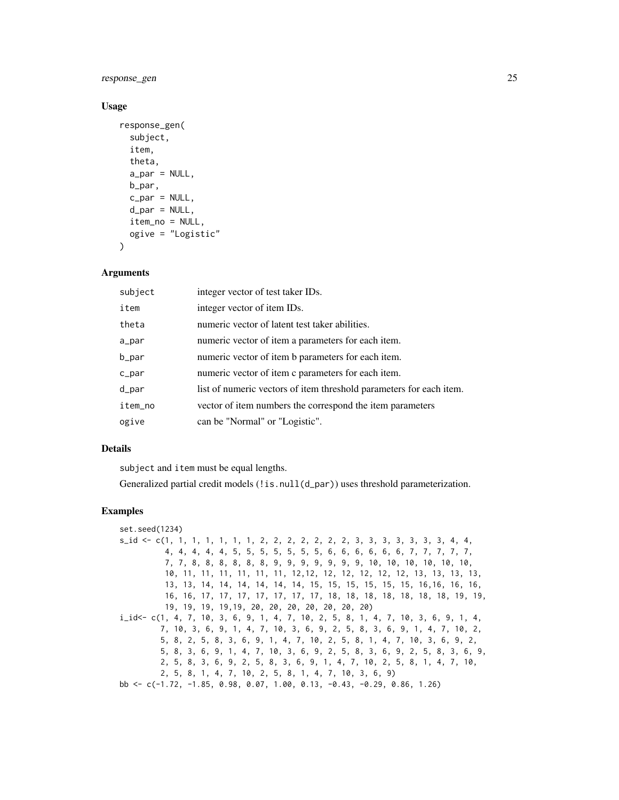# response\_gen 25

#### Usage

```
response_gen(
  subject,
  item,
  theta,
  a_par = NULL,
  b_par,
  c_par = NULL,
  d<sub>par</sub> = NULL,
  item_no = NULL,
  ogive = "Logistic"
)
```
#### Arguments

| subject  | integer vector of test taker IDs.                                   |
|----------|---------------------------------------------------------------------|
| item     | integer vector of item IDs.                                         |
| theta    | numeric vector of latent test taker abilities.                      |
| a_par    | numeric vector of item a parameters for each item.                  |
| b_par    | numeric vector of item b parameters for each item.                  |
| $c$ _par | numeric vector of item c parameters for each item.                  |
| d_par    | list of numeric vectors of item threshold parameters for each item. |
| item_no  | vector of item numbers the correspond the item parameters           |
| ogive    | can be "Normal" or "Logistic".                                      |

### Details

subject and item must be equal lengths.

Generalized partial credit models (!is.null(d\_par)) uses threshold parameterization.

### Examples

```
set.seed(1234)
s_id <- c(1, 1, 1, 1, 1, 1, 1, 2, 2, 2, 2, 2, 2, 2, 3, 3, 3, 3, 3, 3, 3, 4, 4,
          4, 4, 4, 4, 4, 5, 5, 5, 5, 5, 5, 5, 6, 6, 6, 6, 6, 6, 7, 7, 7, 7, 7,
          7, 7, 8, 8, 8, 8, 8, 8, 9, 9, 9, 9, 9, 9, 9, 10, 10, 10, 10, 10, 10,
          10, 11, 11, 11, 11, 11, 11, 12,12, 12, 12, 12, 12, 12, 13, 13, 13, 13,
          13, 13, 14, 14, 14, 14, 14, 14, 15, 15, 15, 15, 15, 15, 16,16, 16, 16,
          16, 16, 17, 17, 17, 17, 17, 17, 17, 18, 18, 18, 18, 18, 18, 18, 19, 19,
          19, 19, 19, 19,19, 20, 20, 20, 20, 20, 20, 20)
i_id<- c(1, 4, 7, 10, 3, 6, 9, 1, 4, 7, 10, 2, 5, 8, 1, 4, 7, 10, 3, 6, 9, 1, 4,
         7, 10, 3, 6, 9, 1, 4, 7, 10, 3, 6, 9, 2, 5, 8, 3, 6, 9, 1, 4, 7, 10, 2,
         5, 8, 2, 5, 8, 3, 6, 9, 1, 4, 7, 10, 2, 5, 8, 1, 4, 7, 10, 3, 6, 9, 2,
         5, 8, 3, 6, 9, 1, 4, 7, 10, 3, 6, 9, 2, 5, 8, 3, 6, 9, 2, 5, 8, 3, 6, 9,
         2, 5, 8, 3, 6, 9, 2, 5, 8, 3, 6, 9, 1, 4, 7, 10, 2, 5, 8, 1, 4, 7, 10,
         2, 5, 8, 1, 4, 7, 10, 2, 5, 8, 1, 4, 7, 10, 3, 6, 9)
bb <- c(-1.72, -1.85, 0.98, 0.07, 1.00, 0.13, -0.43, -0.29, 0.86, 1.26)
```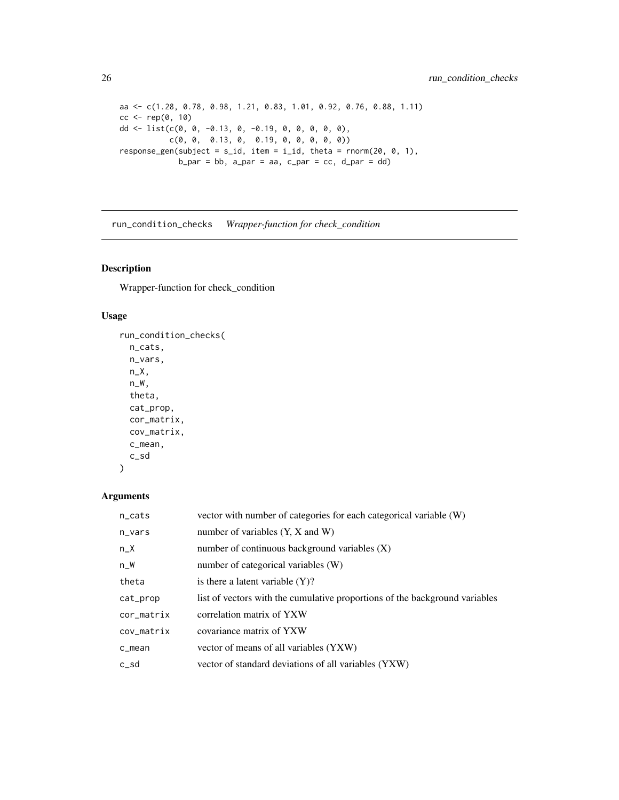```
aa <- c(1.28, 0.78, 0.98, 1.21, 0.83, 1.01, 0.92, 0.76, 0.88, 1.11)
cc < -\text{rep}(0, 10)dd <- list(c(0, 0, -0.13, 0, -0.19, 0, 0, 0, 0, 0),
            c(0, 0, 0.13, 0, 0.19, 0, 0, 0, 0, 0))
response_gen(subject = s_id, item = i_id, theta = rnorm(20, 0, 1),
              b<sub>-par</sub> = bb, a<sub>-par</sub> = aa, c<sub>-par</sub> = cc, d<sub>-par</sub> = dd)
```
run\_condition\_checks *Wrapper-function for check\_condition*

# Description

Wrapper-function for check\_condition

# Usage

```
run_condition_checks(
  n_cats,
  n_vars,
  n_X,
  n_W,
  theta,
  cat_prop,
  cor_matrix,
  cov_matrix,
  c_mean,
  c_sd
\mathcal{L}
```

| $n$ <sub>cats</sub> | vector with number of categories for each categorical variable (W)          |
|---------------------|-----------------------------------------------------------------------------|
| n_vars              | number of variables $(Y, X, Z)$ and W)                                      |
| $n_X$               | number of continuous background variables $(X)$                             |
| $n_W$               | number of categorical variables (W)                                         |
| theta               | is there a latent variable $(Y)$ ?                                          |
| cat_prop            | list of vectors with the cumulative proportions of the background variables |
| cor_matrix          | correlation matrix of YXW                                                   |
| cov_matrix          | covariance matrix of YXW                                                    |
| c_mean              | vector of means of all variables (YXW)                                      |
| $c$ _sd             | vector of standard deviations of all variables (YXW)                        |

<span id="page-25-0"></span>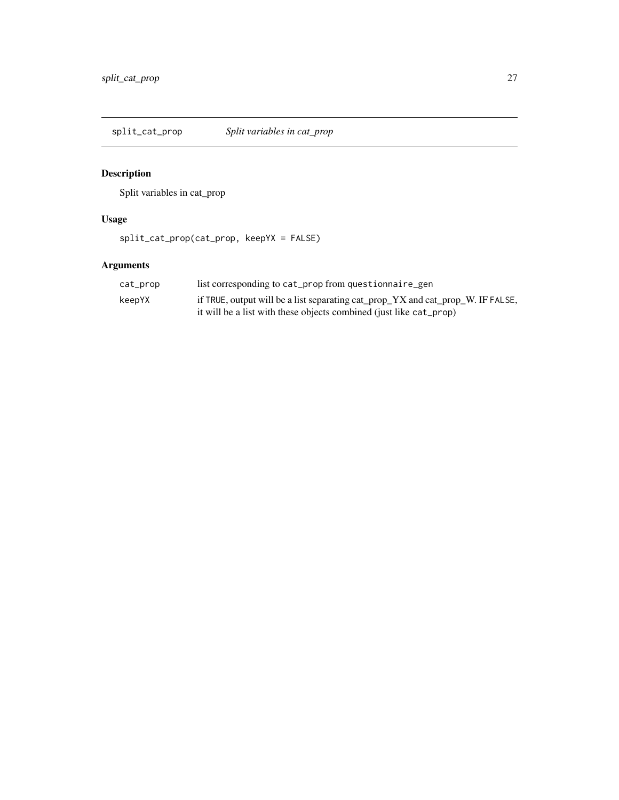<span id="page-26-0"></span>split\_cat\_prop *Split variables in cat\_prop*

# Description

Split variables in cat\_prop

# Usage

split\_cat\_prop(cat\_prop, keepYX = FALSE)

| cat_prop | list corresponding to cat_prop from questionnaire_gen                           |
|----------|---------------------------------------------------------------------------------|
| keepYX   | if TRUE, output will be a list separating cat_prop_YX and cat_prop_W. IF FALSE, |
|          | it will be a list with these objects combined (just like cat_prop)              |